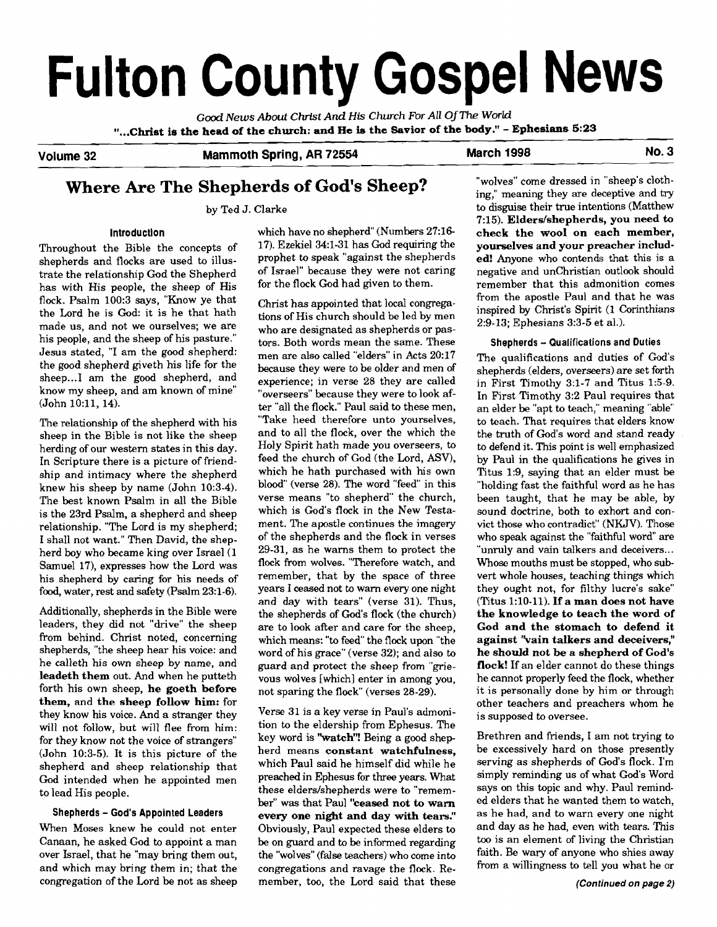# **Fulton County Gospel News**

**Good News** *About Christ* **And** *His* **Church For All OfThe World "...Christ is the head of the church: and He is the Savior of the body."** - **Ephesians 5:23** 

**Volume 32 Mammoth Spring, AR 72554 March 1998 No. 3** 

# **Where Are The Shepherds of God's Sheep?**

by Ted J. Clarke

#### **lntroductlon**

Throughout the Bible the concepts of shepherds and flocks are used to illustrate the relationship God the Shepherd has with His people, the sheep of His flock. Psalm 100:3 says, "Know ye that the Lord he is God: it is he that hath made us, and not we ourselves; we are his people, and the sheep of his pasture." Jesus stated, "I am the good shepherd: the good shepherd giveth his life for the sheep... I am the good shepherd, and know my sheep, and am known of mine" (John 10:11, 14).

The relationship of the shepherd with his sheep in the Bible is not like the sheep herding of our western states in this day. In Scripture there is a picture of friendship and intimacy where the shepherd knew his sheep by name (John 10:3-4). The best known Psalm in all the Bible is the 23rd Psalm, a shepherd and sheep relationship. "The Lord is my shepherd; I shall not want." Then David, the shepherd boy who became king over Israel (1 Samuel 17), expresses how the Lord was his shepherd by caring for his needs of food, water, rest and safety (Psalm 23:l-6).

Additionally, shepherds in the Bible were leaders, they did not "drive" the sheep from behind. Christ noted, concerning shepherds, "the sheep hear his voice: and he calleth his own sheep by name, and **leadeth them** out. And when he putteth forth his own sheep, **he goeth before them,** and **the sheep follow him:** for they know his voice. And a stranger they will not follow, but will flee from him: for they know not the voice of strangers" (John 10:3-5). It is this picture of the shepherd and sheep relationship that God intended when he appointed men to lead His people.

#### **Shepherds** - **God's Appointed Leaders**

When Moses knew he could not enter Canaan, he asked God to appoint a man over Israel, that he "may bring them out, and which may bring them in; that the congregation of the Lord be not as sheep

which have no shepherd" (Numbers 27:16-17). Ezekiel 34:l-31 has God requiring the prophet to speak "against the shepherds of Israel" because they were not caring for the flock God had given to them.

Christ has appointed that local congregations of His church should be led by men who are designated as shepherds or pastors. Both words mean the same. These men are also called "elders" in Acts 20:17 because they were to be older and men of experience; in verse 28 they are called "overseers" because they were to look after "all the flock." Paul said to these men, "Take heed therefore unto yourselves, and to all the flock, over the which the Holy Spirit hath made you overseers, to feed the church of God (the Lord, ASV), which he hath purchased with his own blood" (verse 28). The word "feed" in this verse means "to shepherd" the church, which is God's flock in the New Testament. The apostle continues the imagery of the shepherds and the flock in verses 29-31, as he warns them to protect the flock from wolves. "Therefore watch, and remember, that by the space of three years I ceased not to warn every one night and day with tears" (verse 31). Thus, the shepherds of God's flock (the church) are to look after and care for the sheep, which means: "to feed" the flock upon "the word of his grace" (verse 32); and also to guard and protect the sheep from "grievous wolves [which] enter in among you, not sparing the flock" (verses 28-29).

Verse 31 is a key verse in Paul's admonition to the eldership from Ephesus. The key word is **"watch"!** Being a good shepherd means **constant watchfulness,**  which Paul said he himself did while he preached in Ephesus for three years. What these elders/shepherds were to "remember" was that Paul **"ceased not** to **warn every one night and day with tears."**  Obviously, Paul expected these elders to be on guard and to be informed regarding the "wolves" (false teachers) who come into congregations and ravage the flock. Remember, too, the Lord said that these

"wolves" come dressed in "sheep's clothing," meaning they are deceptive and try to disguise their true intentions (Matthew 7:15). **Eldersfshepherds, you need to check the wool on each member, yourselves and your preacher included!** Anyone who contends that this is a negative and unchristian outlook should remember that this admonition comes from the apostle Paul and that he was inspired by Christ's Spirit (1 Corinthians 2:9-13; Ephesians 3:3-5 et al.).

#### **Shepherds** - **Qualifications and Duties**

The qualifications and duties of God's shepherds (elders, overseers) are set forth in First Timothy 3:l-7 and Titus 1:5-9. In First Timothy 3:2 Paul requires that an elder be "apt to teach," meaning "able" to teach. That requires that elders know the truth of God's word and stand ready to defend it. This point is well emphasized by Paul in the qualifications he gives in Titus 1:9, saying that an elder must be "holding fast the faithful word as he has been taught, that he may be able, by sound doctrine, both to exhort and convict those who contradict" (NKJV). Those who speak against the "faithful word" are "unruly and vain talkers and deceivers... Whose mouths must be stopped, who subvert whole houses, teaching things which they ought not, for filthy lucre's sake" (Titus 1:lO-11). If **a man does not have the knowledge to teach the word of God and the stomach to defend it**  against "vain talkers and deceivers," **he should not be a shepherd of God's flock!** If an elder cannot do these things he cannot properly feed the flock, whether it is personally done by him or through other teachers and preachers whom he is supposed to oversee.

Brethren and friends, I am not trying to be excessively hard on those presently serving as shepherds of God's flock. I'm simply reminding us of what God's Word says on this topic and why. Paul reminded elders that he wanted them to watch, as he had, and to warn every one night and day as he had, even with tears. This too is an element of living the Christian faith. Be wary of anyone who shies away from a willingness to tell you what he or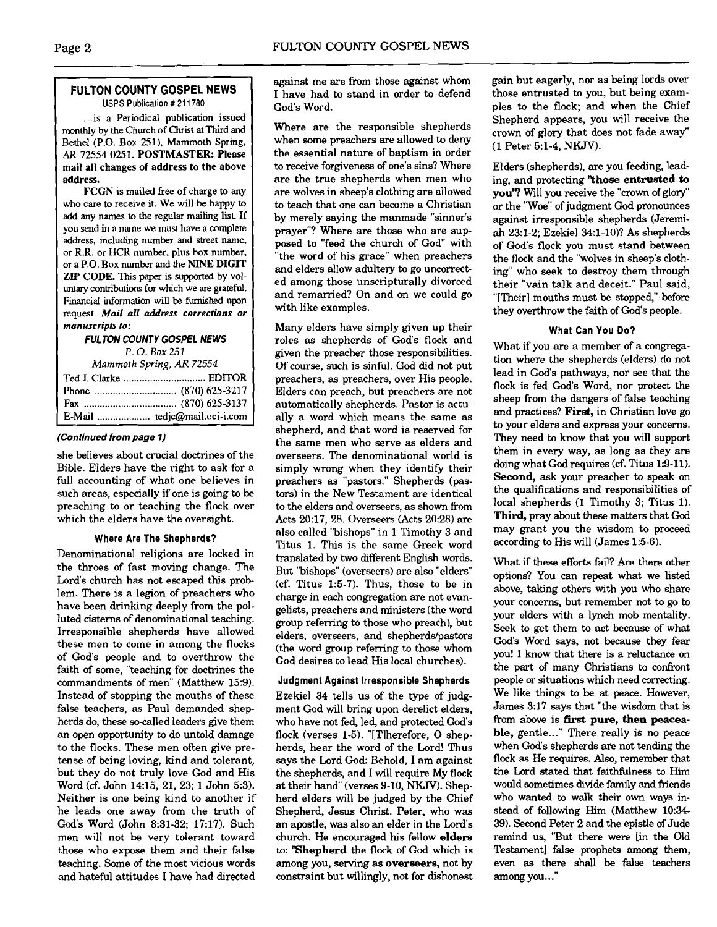#### **FULTON COUNTY GOSPEL NEWS USPS Publication** # **21 1780**

... is a Periodical publication issued monthly by the Church of Christ at Third and Bethel (P.O. Box 251), Mammoth Spring, AR 72554-025 1. POSTMASTER: Please mail all changes of address to the above address.

FCGN is mailed free of charge to any who care to receive it. We will be happy to add any names to the regular mailing list If you send in a name we must have a complete address, including number and street name, or R.R. or HCR number, plus **box** number, or a P.O. Box number and the NINE DIGIT ZIP CODE. This paper is supported by voluntary contributions for which we are grateful. Financial information will **be furnished** upon request. *Mail all* **address corrections or manuscripts to:** 

#### **FULTON COUNTY GOSPEL NEWS**  *P.* 0. *Box 251*

*Mammoth* **Spring,** *AR 72554* 

| 1.1 |                              |
|-----|------------------------------|
|     |                              |
|     |                              |
|     |                              |
|     | E-Mail  tedjc@mail.oci-i.com |

#### **(Continued from page 1)**

she believes about crucial doctrines of the Bible. Elders have the right to ask for a full accounting of what one believes in such areas, especially if one is going to be preaching to or teaching the flock over which the elders have the oversight.

#### **Where Are The Shepherds?**

Denominational religions are locked in the throes of fast moving change. The Lord's church has not escaped this problem. There is a legion of preachers who have been drinking deeply from the polluted cisterns of denominational teaching. Irresponsible shepherds have allowed these men to come in among the flocks of God's people and to overthrow the faith of some, "teaching for doctrines the commandments of men" (Matthew 15:9). Instead of stopping the mouths of these false teachers, as Paul demanded shepherds do, these socalled leaders give them an open opportunity to do untold damage to the flocks. These men often give pretense of being loving, kind and tolerant, but they do not truly love God and His Word (cf. John 1415, 21, 23; 1 John 5:3). Neither is one being kind to another if he leads one away from the truth of God's Word (John 8:31-32; 17:17). Such men will not be very tolerant toward those who expose them and their false teaching. Some of the most vicious words and hateful attitudes I have had directed

against me are from those against whom I have had to stand in order to defend God's Word.

Where are the responsible shepherds when some preachers are allowed to deny the essential nature of baptism in order to receive forgiveness of one's sins? Where are the true shepherds when men who are wolves in sheep's clothing are allowed to teach that one can become a Christian by merely saying the manmade "sinner's prayer"? Where are those who are supposed to "feed the church of God" with "the word of his grace" when preachers and elders allow adultery to go uncorrected among those unscripturally divorced and remarried? On and on we could go with like examples.

Many elders have simply given up their roles as shepherds of God's flock and given the preacher those responsibilities. Of course, such is sinful. God did not put preachers, as preachers, over His people. Elders can preach, but preachers are not automatically shepherds. Pastor is actually a word which means the same as shepherd, and that word is reserved for the same men who serve as elders and overseers. The denominational world is simply wrong when they identify their preachers **as** "pastors." Shepherds (pastors) in the New Testament are identical to the elders and overseers, as shown from Acts 20:17, 28. Overseers (Acts 20:28) are also called "bishops" in 1 Timothy 3 and Titus 1. This is the same Greek word translated by two different English words. But 'bishops" (overseers) are also "elders" (cf. Titus 1:5-7). Thus, those to be in charge in each congregation are not evangelists, preachers and ministers (the word group referring to those who preach), but elders, overseers, and shepherds/pastors (the word group referring to those whom God desires to lead His local churches).

### **Judgment Against Irresponsible Shepherds**

Ezekiel 34 tells us of the type of judgment God will bring upon derelict elders, who have not fed, led, and protected God's flock (verses 1-5). "[Tlherefore, 0 shepherds, hear the word of the Lord! Thus says the Lord God: Behold, I am against the shepherds, and I will require My flock at their hand" (verses 9-10, NKJV). Shepherd elders will be judged by the Chief Shepherd, Jesus Christ. Peter, who was an apostle, was also an elder in the Lord's church. He encouraged his fellow **elders to: 'Shepherd** the flock of God which is among you, serving **as overseers,** not by constraint but willingly, not for dishonest gain but eagerly, nor as being lords over those entrusted to you, but being examples to the flock; and when the Chief Shepherd appears, you will receive the crown of glory that does not fade away" (1 Peter 51-4, NKJV).

Elders (shepherds), are you feeding, leading, and protecting **"those entrusted to you'?** Will you receive the "crown of glory" or the "Woe" of judgment God pronounces against irresponsible shepherds (Jeremiah 23:l-2; Ezekiel 34:l-lo)? **As** shepherds of God's flock you must stand between the flock and the "wolves in sheep's clothing" who seek to destroy them through their "vain talk and deceit." Paul said, "[Their] mouths must be stopped," before they overthrow the faith of God's people.

#### **What Can You Do?**

What if you are a member of a congregation where the shepherds (elders) do not lead in God's pathways, nor see that the flock is fed God's Word, nor protect the sheep from the dangers of false teaching and practices? **First,** in Christian love go to your elders and express your concerns. They need to know that you will support them in every way, as long as they are doing what God requires (cf. Titus 1:9-11). **Second,** ask your preacher to speak on the qualifications and responsibilities of local shepherds (1 Timothy 3; Titus 1). Third, pray about these matters that **God**  may grant you the wisdom to proceed according to His will (James 1:5-6).

What if these efforts fail? Are there other options? You can repeat what we listed above, taking others with you who share your concerns, but remember not to go to your elders with a lynch mob mentality. Seek to get them to act because of what God's Word says, not because they fear you! I know that there is a reluctance on the part of many Christians to confront people or situations which need correcting. We like things to be at peace. However, James 3:17 says that "the wisdom that is from above is **first pure, then peacea**ble, gentle..." There really is no peace when God's shepherds **are** not tending the flock as He requires. Also, remember that the Lord stated that faithfulness to Him would sometimes divide family and friends who wanted to walk their own ways instead of following Him (Matthew 10:34- 39). Second Peter 2 and the epistle of Jude remind us, "But there were [in the Old Testament] false prophets among them, even **as** there shall be false teachers among you..."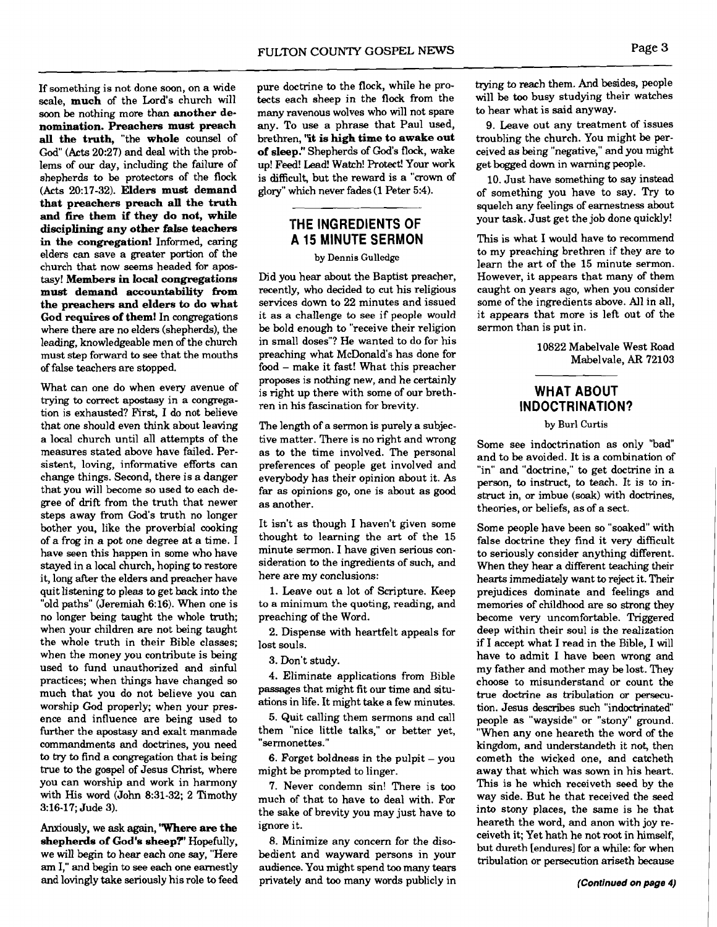If something is not done soon, on a wide scale, **much** of the Lord's church will soon be nothing more than **another denomination. Preachers must preach all the truth,** "the **whole** counsel of God" (Acts 20:27) and deal with the problems of our day, including the failure of shepherds to be protectors of the flock (Acts 20:17-32). **Elders must demand that preachers preach all the truth and fire them if they do not, while disciplining any other false teachers in the congregation!** Informed, caring elders can save a greater portion of the church that now seems headed for apostasy! **Members** in **local congregations**  must demand accountability from **the preachers and elders to do what God requires of them!** In congregations where there are no elders (shepherds), the leading, knowledgeable men of the church must step forward to see that the mouths of false teachers are stopped.

What can one do when every avenue of trying to correct apostasy in a congregation is exhausted? First, I do not believe that one should even think about leaving a local church until all attempts of the measures stated above have failed. Persistent, loving, informative efforts can change things. Second, there is a danger that you will become so used to each degree of drift from the truth that newer steps away from God's truth no longer bother you, like the proverbial cooking of a frog in a pot one degree at a time. I have seen this happen in some who have stayed in a local church, hoping to restore it, long after the elders and preacher have quit listening to pleas to get back into the "old paths" (Jeremiah 6:16). When one is no longer being taught the whole truth; when your children are not being taught the whole truth in their Bible classes; when the money you contribute is being used to fund unauthorized and sinful practices; when things have changed so much that you do not believe you can worship God properly; when your presence and influence are being used to further the apostasy and exalt manmade commandments and doctrines, you need to **try** to find a congregation that is being true to the gospel of Jesus Christ, where you can worship and work in harmony with His word (John 8:31-32; 2 Timothy 3:16-17; Jude 3).

Anxiously, we ask again, **'Where are the shepherds of God's sheep?'** Hopefully, we will begin to hear each one say, "Here am I," and begin to see each one earnestly and lovingly take seriously his role to feed pure doctrine to the flock, while he protects each sheep in the flock from the many ravenous wolves who will not spare any. To use a phrase that Paul used, brethren, **"it is high time to awake out of sleep!'** Shepherds of God's flock, wake up! Feed! Lead! Watch! Protect! Your work is difficult, but the reward is a "crown **of**  glory" which never fades (1 Peter 5:4).

## **'THE INGREDIENTS OF A 15 MINUTE SERMON**

### **by** Dennis Gulledge

Did you hear about the Baptist preacher, recently, who decided to cut his religious services down to 22 minutes and issued it as a challenge to see if people would be bold enough to "receive their religion in small doses"? He wanted to do for his preaching what McDonald's has done for food - make it fast! What this preacher proposes is nothing new, and he certainly is right up there with some of our brethren in his fascination for brevity.

The length of a sermon is purely a subjective matter. There is no right and wrong as to the time involved. The personal preferences of people get involved and everybody has their opinion about it. As far as opinions go, one is about as good as another.

It isn't as though I haven't given some thought to learning the art of the 15 minute sermon. I have given serious consideration to the ingredients of such, and here are my conclusions:

1. Leave out a lot of Scripture. Keep to a minimum the quoting, reading, and preaching of the Word.

2. Dispense with heartfelt appeals for lost souls.

3. Don't study.

4. Eliminate applications from Bible passages that might fit our time and situations in life. It might take a few minutes.

5. Quit calling them sermons and call them "nice little talks," or better yet, "sermonettes."

6. Forget boldness in the pulpit  $-$  you might be prompted to linger.

7. Never condemn sin! There is too much of that to have to deal with. For the sake of brevity you may just have to ignore it.

8. Minimize any concern for the disobedient and wayward persons in your audience. You might spend too many tears privately and too many words publicly in trying to reach them. And besides, people will be too busy studying their watches to hear what is said anyway.

9. Leave out any treatment of issues troubling the church. You might be perceived **as** being "negative," and you might get bogged down in warning people.

10. Just have something to say instead of something you have to say. Try to squelch any feelings of earnestness about your task. Just get the job done quickly!

This is what I would have to recommend to my preaching brethren if they are to learn the art of the 15 minute sermon. However, it appears that many of them caught on years ago, when you consider some of the ingredients above. All in all, it appears that more is left out of the sermon than is put in.

> 10822 Mabelvale West Road Mabelvale, **AR** 72103

# **WHAT ABOUT INDOCTRINATION?**

#### **by** Burl Curtis

Some see indoctrination as only "bad and to be avoided. It is a combination of "in" and "doctrine," to get doctrine in a person, to instruct, to teach. It is to instruct in, or imbue **(soak)** with doctrines, theories, or beliefs, as of a sect.

Some people have been so "soaked" with false doctrine they find it very difficult to seriously consider anything different. When they hear a different teaching their hearts immediately want to reject it. Their prejudices dominate and feelings and memories of childhood are so strong they become very uncomfortable. Triggered deep within their soul is the realization if I accept what I read in the Bible, I will have to admit I have been wrong and my father and mother may be lost. They choose to misunderstand or count the true doctrine as tribulation or persecution. Jesus describes such "indoctrinated" people as "wayside" or "stony" ground. "When any one heareth the word of the kingdom, and understandeth it not, then cometh the wicked one, and catcheth away that which was sown in his heart. This is he which receiveth seed by the way side. But he that received the seed into stony places, the same is he that heareth the word, and anon with joy receiveth it; Yet hath he not root in himself, but dureth [endures] for a while: for when tribulation or persecution ariseth because